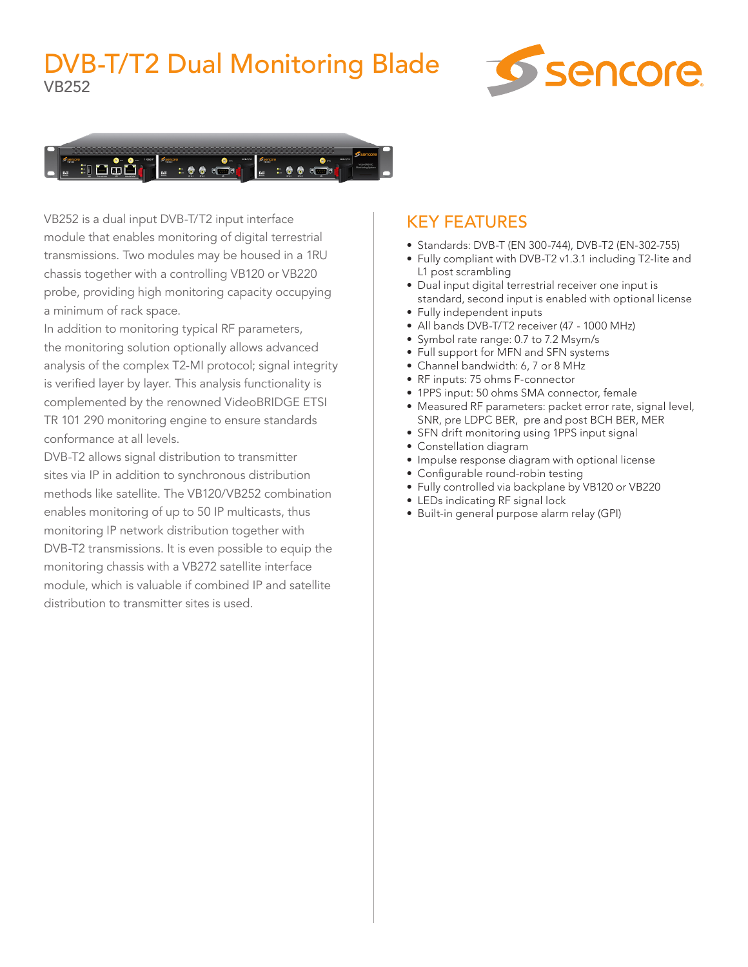## DVB-T/T2 Dual Monitoring Blade VB252





VB252 is a dual input DVB-T/T2 input interface module that enables monitoring of digital terrestrial transmissions. Two modules may be housed in a 1RU chassis together with a controlling VB120 or VB220 probe, providing high monitoring capacity occupying a minimum of rack space.

In addition to monitoring typical RF parameters, the monitoring solution optionally allows advanced analysis of the complex T2-MI protocol; signal integrity is verified layer by layer. This analysis functionality is complemented by the renowned VideoBRIDGE ETSI TR 101 290 monitoring engine to ensure standards conformance at all levels.

DVB-T2 allows signal distribution to transmitter sites via IP in addition to synchronous distribution methods like satellite. The VB120/VB252 combination enables monitoring of up to 50 IP multicasts, thus monitoring IP network distribution together with DVB-T2 transmissions. It is even possible to equip the monitoring chassis with a VB272 satellite interface module, which is valuable if combined IP and satellite distribution to transmitter sites is used.

### KEY FEATURES

- Standards: DVB-T (EN 300-744), DVB-T2 (EN-302-755)
- Fully compliant with DVB-T2 v1.3.1 including T2-lite and L1 post scrambling
- Dual input digital terrestrial receiver one input is standard, second input is enabled with optional license
- Fully independent inputs
- All bands DVB-T/T2 receiver (47 1000 MHz)
- Symbol rate range: 0.7 to 7.2 Msym/s
- Full support for MFN and SFN systems
- Channel bandwidth: 6, 7 or 8 MHz
- RF inputs: 75 ohms F-connector
- 1PPS input: 50 ohms SMA connector, female
- Measured RF parameters: packet error rate, signal level, SNR, pre LDPC BER, pre and post BCH BER, MER
- SFN drift monitoring using 1PPS input signal
- Constellation diagram
- Impulse response diagram with optional license
- Configurable round-robin testing
- Fully controlled via backplane by VB120 or VB220
- LEDs indicating RF signal lock
- Built-in general purpose alarm relay (GPI)